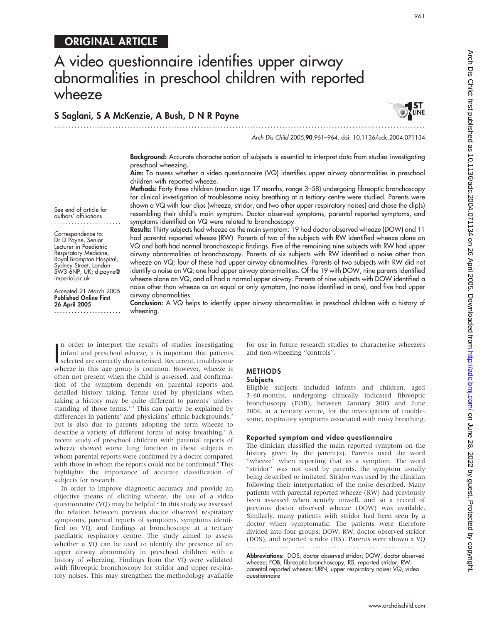# A video questionnaire identifies upper airway abnormalities in preschool children with reported wheeze

### S Saglani, S A McKenzie, A Bush, D N R Payne ...............................................................................................................................



Arch Dis Child 2005;90:961–964. doi: 10.1136/adc.2004.071134

Background: Accurate characterisation of subjects is essential to interpret data from studies investigating preschool wheezing.

Aim: To assess whether a video questionnaire (VQ) identifies upper airway abnormalities in preschool children with reported wheeze.

Methods: Forty three children (median age 17 months, range 3–58) undergoing fibreoptic bronchoscopy for clinical investigation of troublesome noisy breathing at a tertiary centre were studied. Parents were shown a VQ with four clips (wheeze, stridor, and two other upper respiratory noises) and chose the clip(s) resembling their child's main symptom. Doctor observed symptoms, parental reported symptoms, and symptoms identified on VQ were related to bronchoscopy.

See end of article for authors' affiliations .......................

Correspondence to: Dr D Payne, Senior Lecturer in Paediatric Respiratory Medicine, Royal Brompton Hospital, Sydney Street, London SW3 6NP, UK; d.payne@ imperial.ac.uk

Accepted 21 March 2005 Published Online First 26 April 2005 .......................

Results: Thirty subjects had wheeze as the main symptom: 19 had doctor observed wheeze (DOW) and 11 had parental reported wheeze (RW). Parents of two of the subjects with RW identified wheeze alone on VQ and both had normal bronchoscopic findings. Five of the remaining nine subjects with RW had upper airway abnormalities at bronchoscopy. Parents of six subjects with RW identified a noise other than wheeze on VQ; four of these had upper airway abnormalities. Parents of two subjects with RW did not identify a noise on VQ; one had upper airway abnormalities. Of the 19 with DOW, nine parents identified wheeze alone on VQ, and all had a normal upper airway. Parents of nine subjects with DOW identified a noise other than wheeze as an equal or only symptom, (no noise identified in one), and five had upper airway abnormalities.

Conclusion: A VQ helps to identify upper airway abnormalities in preschool children with a history of wheezing.

In order to interpret the results of studies investigating<br>
infant and preschool wheeze, it is important that patients<br>
selected are correctly characterised. Recurrent, troublesome<br>
is n order to interpret the results of studies investigating infant and preschool wheeze, it is important that patients wheeze in this age group is common. However, wheeze is often not present when the child is assessed, and confirmation of the symptom depends on parental reports and detailed history taking. Terms used by physicians when taking a history may be quite different to parents' understanding of those terms. $1-5$  This can partly be explained by differences in patients' and physicians' ethnic backgrounds,<sup>2</sup> but is also due to parents adopting the term wheeze to describe a variety of different forms of noisy breathing.<sup>3</sup> A recent study of preschool children with parental reports of wheeze showed worse lung function in those subjects in whom parental reports were confirmed by a doctor compared with those in whom the reports could not be confirmed.<sup>6</sup> This highlights the importance of accurate classification of subjects for research.

In order to improve diagnostic accuracy and provide an objective means of eliciting wheeze, the use of a video questionnaire (VQ) may be helpful.<sup>2</sup> In this study we assessed the relation between previous doctor observed respiratory symptoms, parental reports of symptoms, symptoms identified on VQ, and findings at bronchoscopy at a tertiary paediatric respiratory centre. The study aimed to assess whether a VQ can be used to identify the presence of an upper airway abnormality in preschool children with a history of wheezing. Findings from the VQ were validated with fibreoptic bronchoscopy for stridor and upper respiratory noises. This may strengthen the methodology available for use in future research studies to characterise wheezers and non-wheezing ''controls''.

## METHODS

#### **Subjects**

Eligible subjects included infants and children, aged 3–60 months, undergoing clinically indicated fibreoptic bronchoscopy (FOB), between January 2003 and June 2004, at a tertiary centre, for the investigation of troublesome, respiratory symptoms associated with noisy breathing.

#### Reported symptom and video questionnaire

The clinician classified the main reported symptom on the history given by the parent(s). Parents used the word "wheeze" when reporting that as a symptom. The word "stridor" was not used by parents, the symptom usually being described or imitated. Stridor was used by the clinician following their interpretation of the noise described. Many patients with parental reported wheeze (RW) had previously been assessed when acutely unwell, and so a record of previous doctor observed wheeze (DOW) was available. Similarly, many patients with stridor had been seen by a doctor when symptomatic. The patients were therefore divided into four groups: DOW, RW, doctor observed stridor (DOS), and reported stridor (RS). Parents were shown a VQ

Abbreviations: DOS, doctor observed stridor; DOW, doctor observed wheeze; FOB, fibreoptic bronchoscopy; RS, reported stridor; RW, parental reported wheeze; URN, upper respiratory noise; VQ, video questionnaire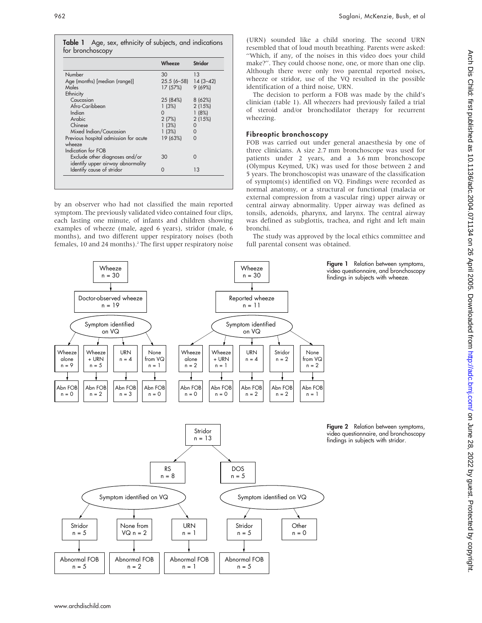Table 1 Age, sex, ethnicity of subjects, and indications for bronchoscopy

|                                                                     | Wheeze                 | Stridor |
|---------------------------------------------------------------------|------------------------|---------|
| Number                                                              | 30                     | 13      |
| Age (months) [median (range)]                                       | $25.5(6-58)$ 14 (3-42) |         |
| Males                                                               | 17 (57%)               | 9(69%)  |
| Ethnicity                                                           |                        |         |
| Caucasian                                                           | 25 (84%)               | 8(62%)  |
| Afro-Caribbean                                                      | 1(3%)                  | 2(15%)  |
| Indian                                                              | 0                      | 1(8%)   |
| Arabic                                                              | 2(7%)                  | 2(15%)  |
| Chinese                                                             | 1(3%)                  | 0       |
| Mixed Indian/Caucasian                                              | 1(3%)                  | 0       |
| Previous hospital admission for acute<br>wheeze                     | 19 (63%)               | O       |
| Indication for FOB                                                  |                        |         |
| Exclude other diagnoses and/or<br>identify upper airway abnormality | 30                     | ი       |
| Identify cause of stridor                                           |                        | 13      |

by an observer who had not classified the main reported symptom. The previously validated video contained four clips, each lasting one minute, of infants and children showing examples of wheeze (male, aged 6 years), stridor (male, 6 months), and two different upper respiratory noises (both females, 10 and 24 months).<sup>2</sup> The first upper respiratory noise (URN) sounded like a child snoring. The second URN resembled that of loud mouth breathing. Parents were asked: ''Which, if any, of the noises in this video does your child make?''. They could choose none, one, or more than one clip. Although there were only two parental reported noises, wheeze or stridor, use of the VQ resulted in the possible identification of a third noise, URN.

The decision to perform a FOB was made by the child's clinician (table 1). All wheezers had previously failed a trial of steroid and/or bronchodilator therapy for recurrent wheezing.

#### Fibreoptic bronchoscopy

FOB was carried out under general anaesthesia by one of three clinicians. A size 2.7 mm bronchoscope was used for patients under 2 years, and a 3.6 mm bronchoscope (Olympus Keymed, UK) was used for those between 2 and 5 years. The bronchoscopist was unaware of the classification of symptom(s) identified on VQ. Findings were recorded as normal anatomy, or a structural or functional (malacia or external compression from a vascular ring) upper airway or central airway abnormality. Upper airway was defined as tonsils, adenoids, pharynx, and larynx. The central airway was defined as subglottis, trachea, and right and left main bronchi.

The study was approved by the local ethics committee and full parental consent was obtained.



Figure 2 Relation between symptoms, video questionnaire, and bronchoscopy findings in subjects with stridor.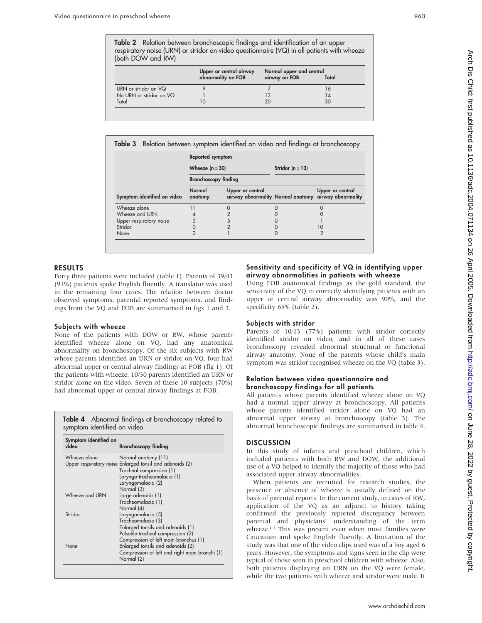Table 2 Relation between bronchoscopic findings and identification of an upper respiratory noise (URN) or stridor on video questionnaire (VQ) in all patients with wheeze (both DOW and RW)

|                         |                                               | Normal upper and central |       |  |
|-------------------------|-----------------------------------------------|--------------------------|-------|--|
|                         | Upper or central airway<br>abnormality on FOB | airway on FOB            | Total |  |
| URN or stridor on VQ    |                                               |                          | 16    |  |
| No URN or stridor on VQ |                                               | 13                       | 14    |  |
| Total                   |                                               | 20                       | 30    |  |
|                         |                                               |                          |       |  |

|                             | Reported symptom            |                  |                    |                                                                          |
|-----------------------------|-----------------------------|------------------|--------------------|--------------------------------------------------------------------------|
|                             | Wheeze $(n = 30)$           |                  | Stridor $(n = 13)$ |                                                                          |
|                             | <b>Bronchoscopy finding</b> |                  |                    |                                                                          |
| Symptom identified on video | Normal<br>anatomy           | Upper or central |                    | Upper or central<br>airway abnormality Normal anatomy airway abnormality |
| Wheeze alone                |                             |                  |                    |                                                                          |
| Wheeze and URN              |                             |                  |                    |                                                                          |
| Upper respiratory noise     | 3                           | 5                |                    |                                                                          |
|                             | 0                           |                  |                    | 10                                                                       |
| Stridor                     |                             |                  |                    |                                                                          |

#### RESULTS

Forty three patients were included (table 1). Parents of 39/43 (91%) patients spoke English fluently. A translator was used in the remaining four cases. The relation between doctor observed symptoms, parental reported symptoms, and findings from the VQ and FOB are summarised in figs 1 and 2.

#### Subjects with wheeze

None of the patients with DOW or RW, whose parents identified wheeze alone on VQ, had any anatomical abnormality on bronchoscopy. Of the six subjects with RW whose parents identified an URN or stridor on VQ, four had abnormal upper or central airway findings at FOB (fig 1). Of the patients with wheeze, 10/30 parents identified an URN or stridor alone on the video. Seven of these 10 subjects (70%) had abnormal upper or central airway findings at FOB.

| Symptom identified on<br>video | <b>Bronchoscopy finding</b>                              |
|--------------------------------|----------------------------------------------------------|
| Wheeze alone                   | Normal anatomy (11)                                      |
|                                | Upper respiratory noise Enlarged tonsil and adenoids (2) |
|                                | Tracheal compression (1)                                 |
|                                | Laryngo-tracheomalacia (1)                               |
|                                | Laryngomalacia (2)                                       |
|                                | Normal (3)                                               |
| Wheeze and URN                 | Large adenoids (1)                                       |
|                                | Tracheomalacia (1)                                       |
|                                | Normal (4)                                               |
| Stridor                        | Laryngomalacia (5)                                       |
|                                | Tracheomalacia (3)                                       |
|                                | Enlarged tonsils and adenoids (1)                        |
|                                | Pulsatile tracheal compression (2)                       |
|                                | Compression of left main bronchus (1)                    |
| None                           | Enlarged tonsils and adenoids (2)                        |
|                                | Compression of left and right main bronchi (1)           |
|                                | Normal (2)                                               |

#### Sensitivity and specificity of VQ in identifying upper airway abnormalities in patients with wheeze

Using FOB anatomical findings as the gold standard, the sensitivity of the VQ in correctly identifying patients with an upper or central airway abnormality was 90%, and the specificity 65% (table 2).

#### Subjects with stridor

Parents of 10/13 (77%) patients with stridor correctly identified stridor on video, and in all of these cases bronchoscopy revealed abnormal structural or functional airway anatomy. None of the parents whose child's main symptom was stridor recognised wheeze on the VQ (table 3).

#### Relation between video questionnaire and bronchoscopy findings for all patients

All patients whose parents identified wheeze alone on VQ had a normal upper airway at bronchoscopy. All patients whose parents identified stridor alone on VQ had an abnormal upper airway at bronchoscopy (table 3). The abnormal bronchoscopic findings are summarised in table 4.

#### **DISCUSSION**

In this study of infants and preschool children, which included patients with both RW and DOW, the additional use of a VQ helped to identify the majority of those who had associated upper airway abnormalities.

When patients are recruited for research studies, the presence or absence of wheeze is usually defined on the basis of parental reports. In the current study, in cases of RW, application of the VQ as an adjunct to history taking confirmed the previously reported discrepancy between parental and physicians' understanding of the term wheeze.<sup>1-3</sup> This was present even when most families were Caucasian and spoke English fluently. A limitation of the study was that one of the video clips used was of a boy aged 6 years. However, the symptoms and signs seen in the clip were typical of those seen in preschool children with wheeze. Also, both patients displaying an URN on the VQ were female, while the two patients with wheeze and stridor were male. It